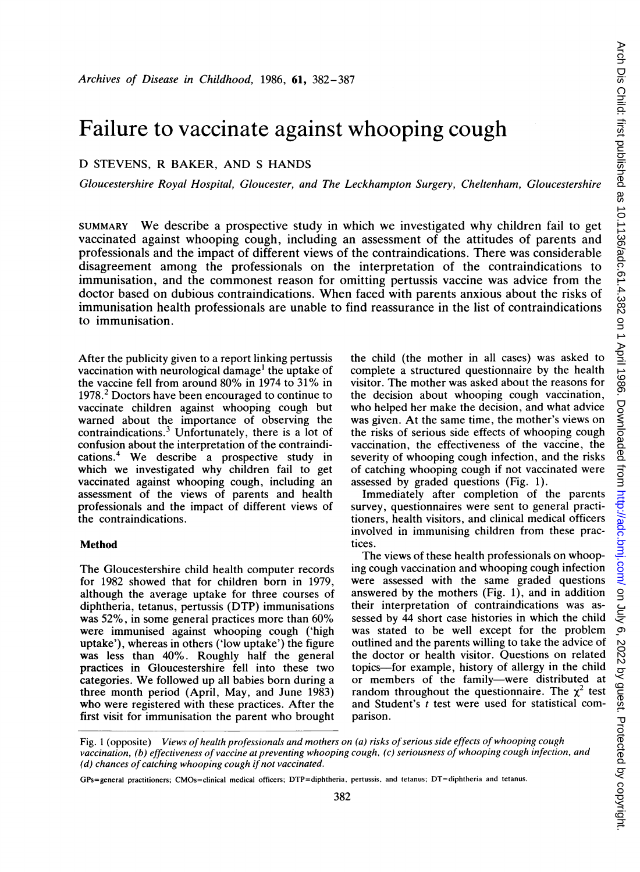# Failure to vaccinate against whooping cough

## D STEVENS, R BAKER, AND <sup>S</sup> HANDS

Gloucestershire Royal Hospital, Gloucester, and The Leckhampton Surgery, Cheltenham, Gloucestershire

SUMMARY We describe <sup>a</sup> prospective study in which we investigated why children fail to get vaccinated against whooping cough, including an assessment of the attitudes of parents and professionals and the impact of different views of the contraindications. There was considerable disagreement among the professionals on the interpretation of the contraindications to immunisation, and the commonest reason for omitting pertussis vaccine was advice from the doctor based on dubious contraindications. When faced with parents anxious about the risks of immunisation health professionals are unable to find reassurance in the list of contraindications to immunisation.

After the publicity given to a report linking pertussis vaccination with neurological damage' the uptake of the vaccine fell from around 80% in <sup>1974</sup> to 31% in 1978.<sup>2</sup> Doctors have been encouraged to continue to vaccinate children against whooping cough but warned about the importance of observing the contraindications.3 Unfortunately, there is a lot of confusion about the interpretation of the contraindications. We describe <sup>a</sup> prospective study in which we investigated why children fail to get vaccinated against whooping cough, including an assessment of the views of parents and health professionals and the impact of different views of the contraindications.

### Method

The Gloucestershire child health computer records for 1982 showed that for children born in 1979, although the average uptake for three courses of diphtheria, tetanus, pertussis (DTP) immunisations was 52%, in some general practices more than 60% were immunised against whooping cough ('high uptake'), whereas in others ('low uptake') the figure was less than 40%. Roughly half the general practices in Gloucestershire fell into these two categories. We followed up all babies born during <sup>a</sup> three month period (April, May, and June 1983) who were registered with these practices. After the first visit for immunisation the parent who brought the child (the mother in all cases) was asked to complete a structured questionnaire by the health visitor. The mother was asked about the reasons for the decision about whooping cough vaccination, who helped her make the decision, and what advice was given. At the same time, the mother's views on the risks of serious side effects of whooping cough vaccination, the effectiveness of the vaccine, the severity of whooping cough infection, and the risks of catching whooping cough if not vaccinated were assessed by graded questions (Fig. 1).

Immediately after completion of the parents survey, questionnaires were sent to general practitioners, health visitors, and clinical medical officers involved in immunising children from these practices.<br>The views of these health professionals on whoop-

The views of these health professionals on whooping cough vaccination and whooping cough infection were assessed with the same graded questions answered by the mothers (Fig. 1), and in addition their interpretation of contraindications was assessed by 44 short case histories in which the child was stated to be well except for the problem outlined and the parents willing to take the advice of the doctor or health visitor. Questions on related topics-for example, history of allergy in the child or members of the family-were distributed at random throughout the questionnaire. The  $\chi^2$  test and Student's  $t$  test were used for statistical comparison.

Fig. 1 (opposite) Views of health professionals and mothers on (a) risks of serious side effects of whooping cough vaccination, (b) effectiveness of vaccine at preventing whooping cough, (c) seriousness of whooping cough infection, and (d) chances of catching whooping cough if not vaccinated.

GPs=general practitioners; CMOs=clinical medical officers; DTP=diphtheria, pertussis, and tetanus; DT=diphtheria and tetanus.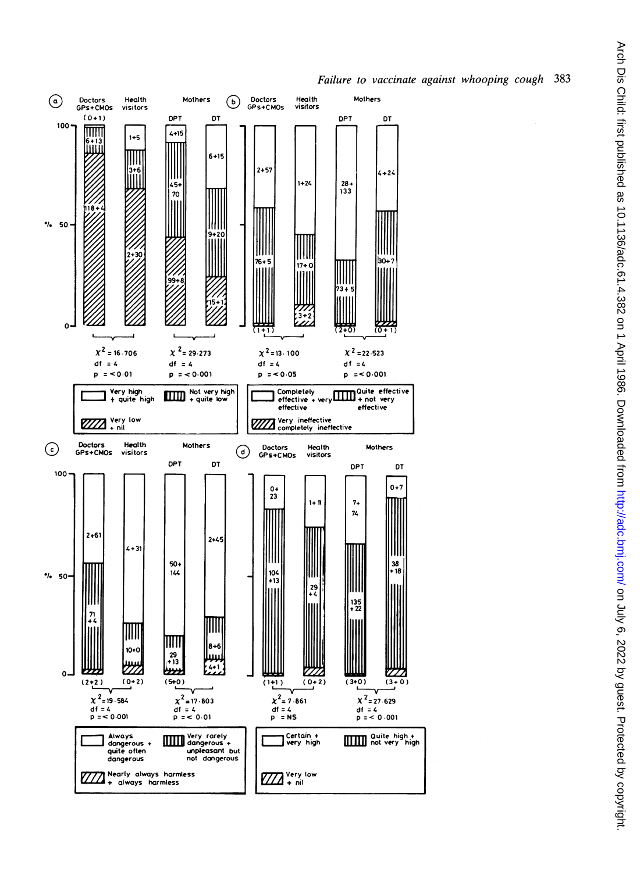

#### 383 Failure to vaccinate against whooping cough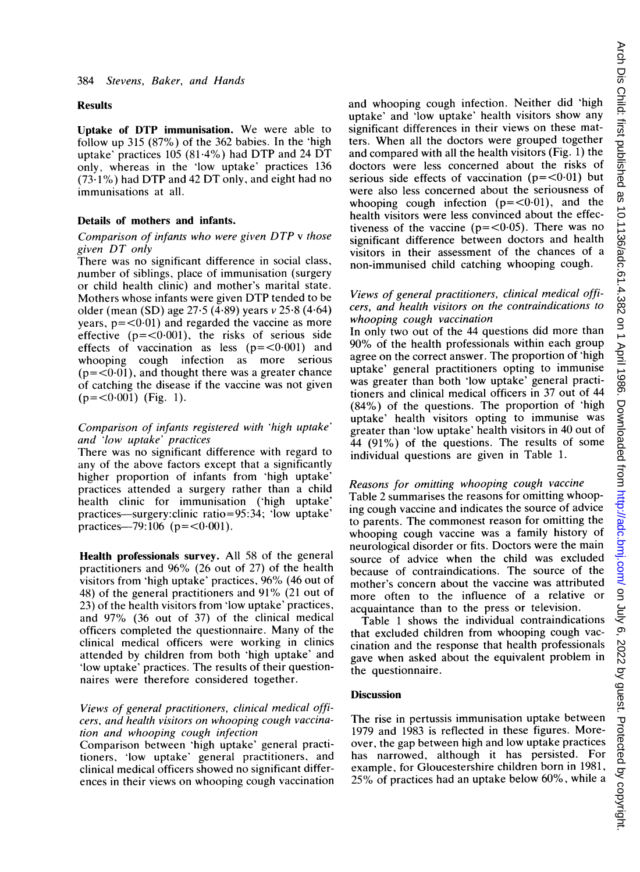#### Results

Uptake of DTP immunisation. We were able to follow up 315 (87%) of the 362 babies. In the 'high uptake' practices  $105 (81.4%)$  had DTP and 24 DT only, whereas in the 'low uptake' practices 136  $(73.1\%)$  had DTP and 42 DT only, and eight had no immunisations at all.

#### Details of mothers and infants.

#### Comparison of infants who were given DTP <sup>v</sup> those given DT only

There was no significant difference in social class, number of siblings, place of immunisation (surgery or child health clinic) and mother's marital state. Mothers whose infants were given DTP tended to be older (mean (SD) age 27-5 (4-89) years v 25-8 (4-64) years,  $p = 0.01$  and regarded the vaccine as more effective  $(p=<0.001)$ , the risks of serious side effects of vaccination as less  $(p=<0.001)$  and whooping cough infection as more serious  $(p=<0.01)$ , and thought there was a greater chance of catching the disease if the vaccine was not given  $(p=<0.001)$  (Fig. 1).

#### Comparison of infants registered with 'high uptake' and 'low uptake' practices

There was no significant difference with regard to any of the above factors except that a significantly higher proportion of infants from 'high uptake' practices attended a surgery rather than a child health clinic for immunisation ('high uptake' practices-surgery:clinic ratio=95:34; 'low uptake' practices—79:106 ( $p = < 0.001$ ).

Health professionals survey. All 58 of the general practitioners and 96% (26 out of 27) of the health visitors from 'high uptake' practices, 96% (46 out of 48) of the general practitioners and  $91\%$  (21 out of 23) of the health visitors from 'low uptake' practices, and 97% (36 out of 37) of the clinical medical officers completed the questionnaire. Many of the clinical medical officers were working in clinics attended by children from both 'high uptake' and 'low uptake' practices. The results of their questionnaires were therefore considered together.

#### Views of general practitioners, clinical medical officers, and health visitors on whooping cough vaccination and whooping cough infection

Comparison between 'high uptake' general practitioners, 'low uptake' general practitioners, and clinical medical officers showed no significant differences in their views on whooping cough vaccination and whooping cough infection. Neither did 'high uptake' and 'low uptake' health visitors show any significant differences in their views on these matters. When all the doctors were grouped together and compared with all the health visitors (Fig. 1) the doctors were less concerned about the risks of serious side effects of vaccination  $(p - \sqrt{0.01})$  but were also less concerned about the seriousness of whooping cough infection  $(p=<0.01)$ , and the health visitors were less convinced about the effec $h_{\text{H}}$  in visitors were less convinced about the effectiveness of the vaccine  $(p = \langle 0.05 \rangle)$ . There was no significant difference between doctors and health visitors in their assessment of the chances of a non-immunised child catching whooping cough.

## Views of general practitioners, clinical medical officers, and health visitors on the contraindications to

whooping cough vaccination<br>In only two out of the 44 questions did more than In only two out of the 44 questions did more than 90% of the health professionals within each group agree on the correct answer. The proportion of 'high uptake' general practitioners opting to immunise was greater than both low uptake general practitioners and clinical medical officers in  $37$  out of  $44.4$  $(84/6)$  of the questions. The proportion of  $\ln 2$ uptake health visitors opting to immunise was greater than 'low uptake' health visitors in 40 out of 44 (91 %) of the questions. The results of some individual questions are given in Table 1.

Reasons for omitting whooping cough vaccine Table 2 summarises the reasons for omitting whooping cough vaccine and indicates the source of advice to parents. The commonest reason for omitting the whooping cough vaccine was a family history of neurological disorder or fits. Doctors were the main source of advice when the child was excluded because of contraindications. The source of the mother's concern about the vaccine was attributed more often to the influence of a relative or acquaintance than to the press or television.

acquaintance than to the press or television. Table <sup>1</sup> shows the individual contraindications that excluded children from whooping cough vaccination and the response that health professionals gave when asked about the equivalent problem in the questionnaire.

#### **Discussion**

The rise in pertussis immunisation uptake between 1979 and 1983 is reflected in these figures. Moreover, the gap between high and low uptake practices has narrowed, although it has persisted. For example, for Gloucestershire children born in 1981, 25% of practices had an uptake below 60%, while <sup>a</sup>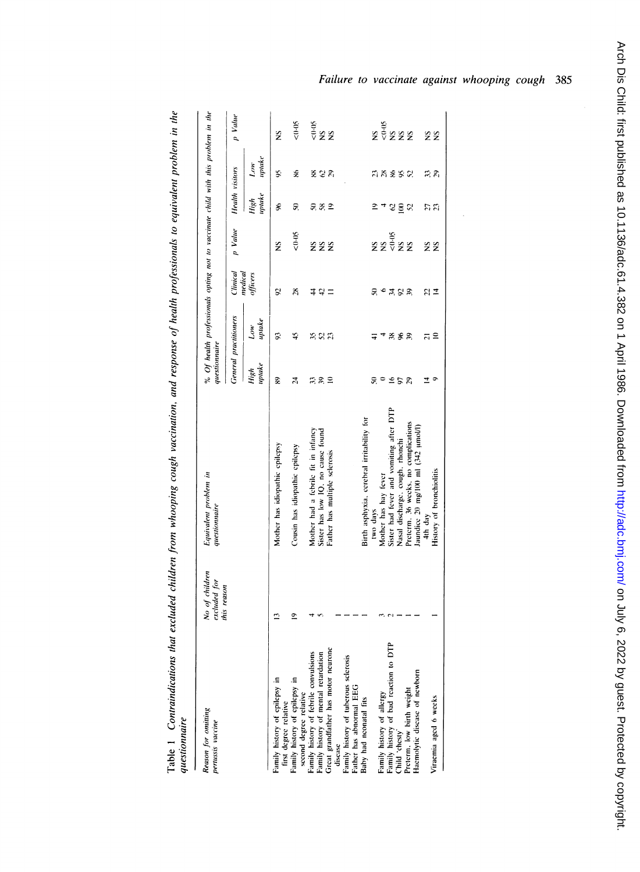| $\ddot{\phantom{0}}$                                                                             |  |
|--------------------------------------------------------------------------------------------------|--|
| ׇ֚֠֕                                                                                             |  |
|                                                                                                  |  |
| j                                                                                                |  |
|                                                                                                  |  |
| $\frac{1}{2}$                                                                                    |  |
| ֺ֚                                                                                               |  |
| ì<br>$\ddot{\phantom{a}}$                                                                        |  |
|                                                                                                  |  |
|                                                                                                  |  |
|                                                                                                  |  |
|                                                                                                  |  |
|                                                                                                  |  |
| ļ                                                                                                |  |
|                                                                                                  |  |
|                                                                                                  |  |
| l<br>ׇ֚֘                                                                                         |  |
|                                                                                                  |  |
|                                                                                                  |  |
|                                                                                                  |  |
| $\vdots$<br>Ĭ                                                                                    |  |
| $\ddot{\phantom{a}}$                                                                             |  |
| i                                                                                                |  |
|                                                                                                  |  |
|                                                                                                  |  |
| :<br>i                                                                                           |  |
| ś<br>l<br>ì                                                                                      |  |
|                                                                                                  |  |
| .<br>י<br>l                                                                                      |  |
|                                                                                                  |  |
| j                                                                                                |  |
|                                                                                                  |  |
|                                                                                                  |  |
|                                                                                                  |  |
|                                                                                                  |  |
|                                                                                                  |  |
| $\frac{1}{2}$                                                                                    |  |
| $\ddot{\phantom{a}}$<br>ì                                                                        |  |
| ć,                                                                                               |  |
| 3<br>i<br>֧֦֧֦֧֦֦֧֧֧֦֧֧֦֧֦֧֧֦֧֧֧֧֦֧֧֡֓֓֓֓֓֡֬֓֓֓֬֓֓֓֓֓֡֓֓֓֡֬֓֓֬֓֓֡֬֓֓֬֓֓֓֓֓֓֓֡֬֓֓֓֓֡֓֓֡֬֓֬֓֓֓֓֓֓֓ |  |
|                                                                                                  |  |
|                                                                                                  |  |
|                                                                                                  |  |
|                                                                                                  |  |
|                                                                                                  |  |
| ֧֧֦֧ׅ֧֦֧ׅ֧֧֦֧ׅ֧֦֧֧֧֛֛֛֛֛֧֧ׅ֧֧֛֛֛֛֛֛֛֛֛֛֪֛֪֛֚֚֚֚֚֚֚֚֚֚֚֚֚֚֚֚֚֚֚֚֚֝֕֝֝֬֜֝֬֜֓֜֝֬֜֓֜֜֜֝֬֜֜֜          |  |
| l                                                                                                |  |

| leason for omitting<br>ertussis vaccine                                                                                                                                                                                                            | No of children<br>excluded for | Equivalent problem in<br>questionnaire    | questionnaire  | % Of health professionals opting not to vaccinate child with this problem in the |                     |                         |                |               |                 |
|----------------------------------------------------------------------------------------------------------------------------------------------------------------------------------------------------------------------------------------------------|--------------------------------|-------------------------------------------|----------------|----------------------------------------------------------------------------------|---------------------|-------------------------|----------------|---------------|-----------------|
|                                                                                                                                                                                                                                                    | this reason                    |                                           |                | General practitioners                                                            | Clinical            | p Value Health visitors |                |               | p Value         |
|                                                                                                                                                                                                                                                    |                                |                                           | uptake<br>High | update<br>Lоw                                                                    | medical<br>officers |                         | uptake<br>High | uptake<br>Low |                 |
|                                                                                                                                                                                                                                                    |                                | Mother has idiopathic epilepsy            | æ              | 93                                                                               | 5,                  | ž                       | £              | Ş.            | ž               |
| amily history of epilepsy in<br>this degree relative of epilepsy in<br>this degree relative<br>second degree relative<br>second degree relative<br>samily history of tebrile convulsions<br>freatly history of man and relation<br>discuss discuss | 2                              | Cousin has idiopathic epilepsy            | 24             | 45                                                                               | $_{\rm x}$          | $50-0$                  | 5              | £             | $50 - 6$        |
|                                                                                                                                                                                                                                                    |                                | Mother had a febrile fit in infancy       |                |                                                                                  |                     |                         |                |               |                 |
|                                                                                                                                                                                                                                                    |                                | Sister has low IQ, no cause found         | ದ ಪ ≡          | ສສສ                                                                              | ≄ ∺ =               | 222                     | ೫೫೨            | ಹೆ ಆ ನ        | ទុំ<br>⊽ខខ      |
|                                                                                                                                                                                                                                                    |                                | Father has multiple selerosis             |                |                                                                                  |                     |                         |                |               |                 |
|                                                                                                                                                                                                                                                    |                                |                                           |                |                                                                                  |                     |                         |                |               |                 |
|                                                                                                                                                                                                                                                    |                                |                                           |                |                                                                                  |                     |                         |                |               |                 |
|                                                                                                                                                                                                                                                    |                                |                                           |                |                                                                                  |                     |                         |                |               |                 |
|                                                                                                                                                                                                                                                    |                                | Birth asphyxia, cerebral irritability for |                |                                                                                  |                     |                         |                |               |                 |
|                                                                                                                                                                                                                                                    |                                | two days                                  | 5              | ╤                                                                                |                     | ž                       | ≘              |               |                 |
|                                                                                                                                                                                                                                                    |                                | Mother has hay fever                      |                | ₹                                                                                |                     |                         |                |               |                 |
| e<br>DTP<br><sup>3</sup> amily history of allergy<br><sup>3</sup> amily history of bad reaction to<br>Thild 'chesty'<br>*reterm, low birth weight                                                                                                  |                                | Sister had fever and vomiting after DTP   | C <sub>2</sub> | 288                                                                              | $R - XS$            | ខ្លួំ<br>ខ្លួំខ្លួ      |                | ភ្នន់ និង     | ្ត<br>ខុទ្ទិននិ |
|                                                                                                                                                                                                                                                    |                                | Nasal discharge, cough, rhonchi           |                |                                                                                  |                     |                         |                |               |                 |
|                                                                                                                                                                                                                                                    |                                | Preterm. 36 weeks, no complications       |                |                                                                                  |                     |                         | $C \leq C$     |               |                 |
| aemolytic disease of newborn                                                                                                                                                                                                                       |                                | Jaundice 20 mg/100 ml (342 µmol/l)        |                |                                                                                  |                     |                         |                |               |                 |
|                                                                                                                                                                                                                                                    |                                | 4th day                                   | 호              |                                                                                  |                     |                         |                |               |                 |
| 'iraemia aged 6 weeks                                                                                                                                                                                                                              |                                | History of bronchiolitis                  |                | ລ≘                                                                               | $2\frac{1}{4}$      | žž                      | 55<br>23       | స ని          | žž              |
|                                                                                                                                                                                                                                                    |                                |                                           |                |                                                                                  |                     |                         |                |               |                 |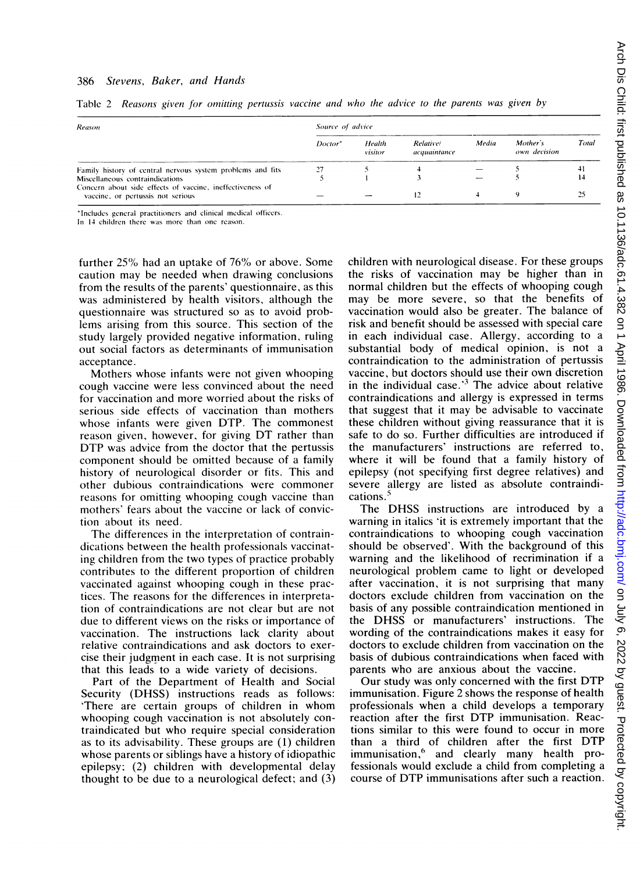#### 386 Stevens, Baker, and Hands

| Reason                                                                                         | Source of advice    |                   |                                  |       |                          |       |  |
|------------------------------------------------------------------------------------------------|---------------------|-------------------|----------------------------------|-------|--------------------------|-------|--|
|                                                                                                | Doctor <sup>*</sup> | Health<br>visitor | <b>Relative/</b><br>acquaintance | Media | Mother's<br>own decision | Total |  |
| Family history of central nervous system problems and fits                                     | 27                  |                   |                                  |       |                          | 41    |  |
| Miscellaneous contraindications                                                                |                     |                   |                                  |       |                          |       |  |
| Concern about side effects of vaccine, ineffectiveness of<br>vaccine, or pertussis not serious |                     |                   |                                  |       |                          |       |  |

Table 2 Reasons given for omitting pertussis vaccine and who the advice to the parents was given by

\*Includes general practitioners and clinical medical officers. In 14 children there was more than one reason.

further 25% had an uptake of 76% or above. Some caution may be needed when drawing conclusions from the results of the parents' questionnaire, as this was administered by health visitors, although the questionnaire was structured so as to avoid problems arising from this source. This section of the study largely provided negative information, ruling out social factors as determinants of immunisation acceptance.

Mothers whose infants were not given whooping cough vaccine were less convinced about the need for vaccination and more worried about the risks of serious side effects of vaccination than mothers whose infants were given DTP. The commonest reason given, however, for giving DT rather than DTP was advice from the doctor that the pertussis component should be omitted because of a family history of neurological disorder or fits. This and other dubious contraindications were commoner reasons for omitting whooping cough vaccine than mothers' fears about the vaccine or lack of conviction about its need.

The differences in the interpretation of contraindications between the health professionals vaccinating children from the two types of practice probably contributes to the different proportion of children vaccinated against whooping cough in these practices. The reasons for the differences in interpretation of contraindications are not clear but are not due to different views on the risks or importance of vaccination. The instructions lack clarity about relative contraindications and ask doctors to exercise their judgment in each case. It is not surprising that this leads to a wide variety of decisions.

Part of the Department of Health and Social Security (DHSS) instructions reads as follows: 'There are certain groups of children in whom whooping cough vaccination is not absolutely contraindicated but who require special consideration as to its advisability. These groups are (1) children whose parents or siblings have a history of idiopathic epilepsy; (2) children with developmental delay thought to be due to a neurological defect; and (3) children with neurological disease. For these groups the risks of vaccination may be higher than in normal children but the effects of whooping cough may be more severe, so that the benefits of vaccination would also be greater. The balance of risk and benefit should be assessed with special care in each individual case. Allergy, according to a substantial body of medical opinion, is not a contraindication to the administration of pertussis vaccine, but doctors should use their own discretion in the individual case. $3$  The advice about relative contraindications and allergy is expressed in terms that suggest that it may be advisable to vaccinate these children without giving reassurance that it is safe to do so. Further difficulties are introduced if the manufacturers' instructions are referred to, where it will be found that a family history of epilepsy (not specifying first degree relatives) and severe allergy are listed as absolute contraindications.<sup>5</sup>

The DHSS instructions are introduced by <sup>a</sup> warning in italics 'it is extremely important that the contraindications to whooping cough vaccination should be observed'. With the background of this warning and the likelihood of recrimination if a neurological problem came to light or developed after vaccination, it is not surprising that many doctors exclude children from vaccination on the basis of any possible contraindication mentioned in the DHSS or manufacturers' instructions. The wording of the contraindications makes it easy for doctors to exclude children from vaccination on the basis of dubious contraindications when faced with parents who are anxious about the vaccine.

Our study was only concerned with the first DTP immunisation. Figure 2 shows the response of health professionals when a child develops a temporary reaction after the first DTP immunisation. Reactions similar to this were found to occur in more than <sup>a</sup> third of children after the first DTP immunisation,<sup>6</sup> and clearly many health professionals would exclude a child from completing a course of DTP immunisations after such <sup>a</sup> reaction.